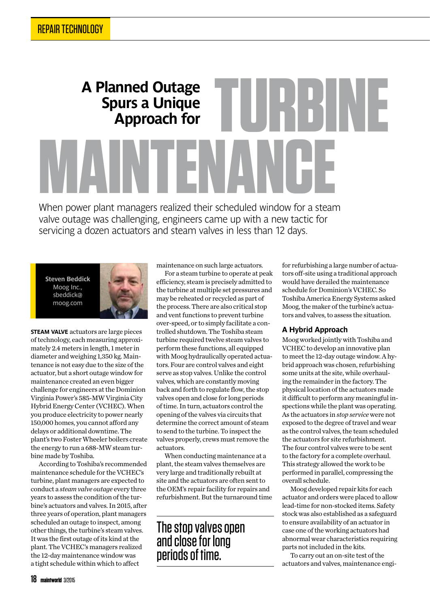# **A Planned Outage Spurs a Unique A Planned Outage<br>
Spurs a Unique<br>
Approach for<br>
<b>A** When nower plant managers realized their scheduled window for a stear

**When power plant managers realized their scheduled window for a steam valve outage was challenging, engineers came up with a new tactic for servicing a dozen actuators and steam valves in less than 12 days.**

**Steven Beddick** Moog Inc., sbeddick@ moog.com



**STEAM VALVE** actuators are large pieces of technology, each measuring approximately 2.4 meters in length, 1 meter in diameter and weighing 1,350 kg. Maintenance is not easy due to the size of the actuator, but a short outage window for maintenance created an even bigger challenge for engineers at the Dominion Virginia Power's 585-MW Virginia City Hybrid Energy Center (VCHEC). When you produce electricity to power nearly 150,000 homes, you cannot afford any delays or additional downtime. The plant's two Foster Wheeler boilers create the energy to run a 688-MW steam turbine made by Toshiba.

According to Toshiba's recommended maintenance schedule for the VCHEC's turbine, plant managers are expected to conduct a *steam valve outage* every three years to assess the condition of the turbine's actuators and valves. In 2015, after three years of operation, plant managers scheduled an outage to inspect, among other things, the turbine's steam valves. It was the first outage of its kind at the plant. The VCHEC's managers realized the 12-day maintenance window was a tight schedule within which to affect

maintenance on such large actuators.

For a steam turbine to operate at peak efficiency, steam is precisely admitted to the turbine at multiple set pressures and may be reheated or recycled as part of the process. There are also critical stop and vent functions to prevent turbine over-speed, or to simply facilitate a controlled shutdown. The Toshiba steam turbine required twelve steam valves to perform these functions, all equipped with Moog hydraulically operated actuators. Four are control valves and eight serve as stop valves. Unlike the control valves, which are constantly moving back and forth to regulate flow, the stop valves open and close for long periods of time. In turn, actuators control the opening of the valves via circuits that determine the correct amount of steam to send to the turbine. To inspect the valves properly, crews must remove the actuators.

When conducting maintenance at a plant, the steam valves themselves are very large and traditionally rebuilt at site and the actuators are often sent to the OEM's repair facility for repairs and refurbishment. But the turnaround time

# The stop valves open and close for long periods of time.

for refurbishing a large number of actuators off-site using a traditional approach would have derailed the maintenance schedule for Dominion's VCHEC. So Toshiba America Energy Systems asked Moog, the maker of the turbine's actuators and valves, to assess the situation.

## **A Hybrid Approach**

Moog worked jointly with Toshiba and VCHEC to develop an innovative plan to meet the 12-day outage window. A hybrid approach was chosen, refurbishing some units at the site, while overhauling the remainder in the factory. The physical location of the actuators made it difficult to perform any meaningful inspections while the plant was operating. As the actuators in *stop service* were not exposed to the degree of travel and wear as the control valves, the team scheduled the actuators for site refurbishment. The four control valves were to be sent to the factory for a complete overhaul. This strategy allowed the work to be performed in parallel, compressing the overall schedule.

Moog developed repair kits for each actuator and orders were placed to allow lead-time for non-stocked items. Safety stock was also established as a safeguard to ensure availability of an actuator in case one of the working actuators had abnormal wear characteristics requiring parts not included in the kits.

To carry out an on-site test of the actuators and valves, maintenance engi-